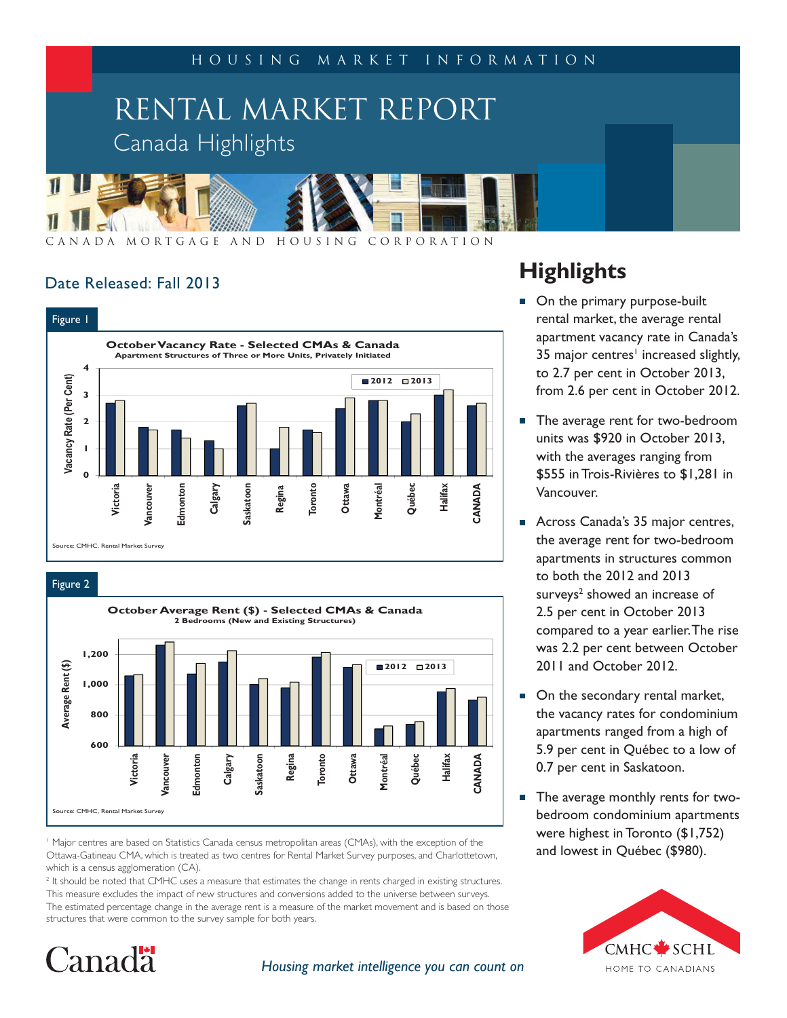

CANADA MORTGAGE AND HOUSING CORPORATION

## Date Released: Fall 2013



Figure 2



1 Major centres are based on Statistics Canada census metropolitan areas (CMAs), with the exception of the Ottawa-Gatineau CMA, which is treated as two centres for Rental Market Survey purposes, and Charlottetown, which is a census agglomeration (CA).

<sup>2</sup> It should be noted that CMHC uses a measure that estimates the change in rents charged in existing structures. This measure excludes the impact of new structures and conversions added to the universe between surveys. The estimated percentage change in the average rent is a measure of the market movement and is based on those structures that were common to the survey sample for both years.

# Canada<sup>.</sup>

*Housing market intelligence you can count on*

## **Highlights**

- On the primary purpose-built rental market, the average rental apartment vacancy rate in Canada's 35 major centres<sup>1</sup> increased slightly, to 2.7 per cent in October 2013, from 2.6 per cent in October 2012.
- The average rent for two-bedroom units was \$920 in October 2013, with the averages ranging from \$555 in Trois-Rivières to \$1,281 in Vancouver.
- Across Canada's 35 major centres,  $\overline{\phantom{a}}$ the average rent for two-bedroom apartments in structures common to both the 2012 and 2013 surveys<sup>2</sup> showed an increase of 2.5 per cent in October 2013 compared to a year earlier.The rise was 2.2 per cent between October 2011 and October 2012.
- On the secondary rental market, the vacancy rates for condominium apartments ranged from a high of 5.9 per cent in Québec to a low of 0.7 per cent in Saskatoon.
- Ē, The average monthly rents for twobedroom condominium apartments were highest in Toronto (\$1,752) and lowest in Québec (\$980).

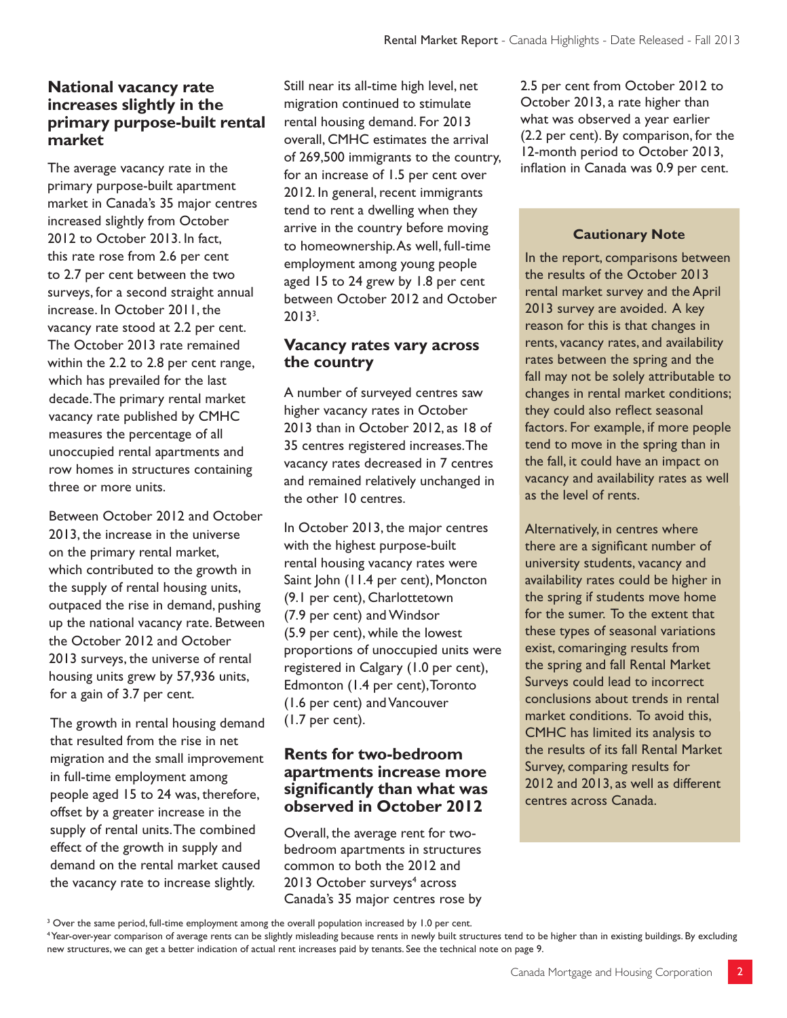## **National vacancy rate increases slightly in the primary purpose-built rental market**

The average vacancy rate in the primary purpose-built apartment market in Canada's 35 major centres increased slightly from October 2012 to October 2013. In fact, this rate rose from 2.6 per cent to 2.7 per cent between the two surveys, for a second straight annual increase. In October 2011, the vacancy rate stood at 2.2 per cent. The October 2013 rate remained within the 2.2 to 2.8 per cent range, which has prevailed for the last decade. The primary rental market vacancy rate published by CMHC measures the percentage of all unoccupied rental apartments and row homes in structures containing three or more units.

Between October 2012 and October 2013, the increase in the universe on the primary rental market, which contributed to the growth in the supply of rental housing units, outpaced the rise in demand, pushing up the national vacancy rate. Between the October 2012 and October 2013 surveys, the universe of rental housing units grew by 57,936 units, for a gain of 3.7 per cent.

The growth in rental housing demand that resulted from the rise in net migration and the small improvement in full-time employment among people aged 15 to 24 was, therefore, offset by a greater increase in the supply of rental units. The combined effect of the growth in supply and demand on the rental market caused the vacancy rate to increase slightly.

Still near its all-time high level, net migration continued to stimulate rental housing demand. For 2013 overall, CMHC estimates the arrival of 269,500 immigrants to the country, for an increase of 1.5 per cent over 2012. In general, recent immigrants tend to rent a dwelling when they arrive in the country before moving to homeownership. As well, full-time employment among young people aged 15 to 24 grew by 1.8 per cent between October 2012 and October  $2013<sup>3</sup>$ .

## **Vacancy rates vary across the country**

A number of surveyed centres saw higher vacancy rates in October 2013 than in October 2012, as 18 of 35 centres registered increases. The vacancy rates decreased in 7 centres and remained relatively unchanged in the other 10 centres.

In October 2013, the major centres with the highest purpose-built rental housing vacancy rates were Saint John (11.4 per cent), Moncton (9.1 per cent), Charlottetown (7.9 per cent) and Windsor (5.9 per cent), while the lowest proportions of unoccupied units were registered in Calgary (1.0 per cent), Edmonton (1.4 per cent), Toronto (1.6 per cent) and Vancouver (1.7 per cent).

## **Rents for two-bedroom apartments increase more signifi cantly than what was observed in October 2012**

Overall, the average rent for twobedroom apartments in structures common to both the 2012 and 2013 October surveys<sup>4</sup> across Canada's 35 major centres rose by

2.5 per cent from October 2012 to October 2013, a rate higher than what was observed a year earlier (2.2 per cent). By comparison, for the 12-month period to October 2013, inflation in Canada was 0.9 per cent.

#### **Cautionary Note**

In the report, comparisons between the results of the October 2013 rental market survey and the April 2013 survey are avoided. A key reason for this is that changes in rents, vacancy rates, and availability rates between the spring and the fall may not be solely attributable to changes in rental market conditions; they could also reflect seasonal factors. For example, if more people tend to move in the spring than in the fall, it could have an impact on vacancy and availability rates as well as the level of rents.

Alternatively, in centres where there are a significant number of university students, vacancy and availability rates could be higher in the spring if students move home for the sumer. To the extent that these types of seasonal variations exist, comaringing results from the spring and fall Rental Market Surveys could lead to incorrect conclusions about trends in rental market conditions. To avoid this, CMHC has limited its analysis to the results of its fall Rental Market Survey, comparing results for 2012 and 2013, as well as different centres across Canada.

<sup>&</sup>lt;sup>3</sup> Over the same period, full-time employment among the overall population increased by 1.0 per cent.

<sup>4</sup> Year-over-year comparison of average rents can be slightly misleading because rents in newly built structures tend to be higher than in existing buildings. By excluding new structures, we can get a better indication of actual rent increases paid by tenants. See the technical note on page 9.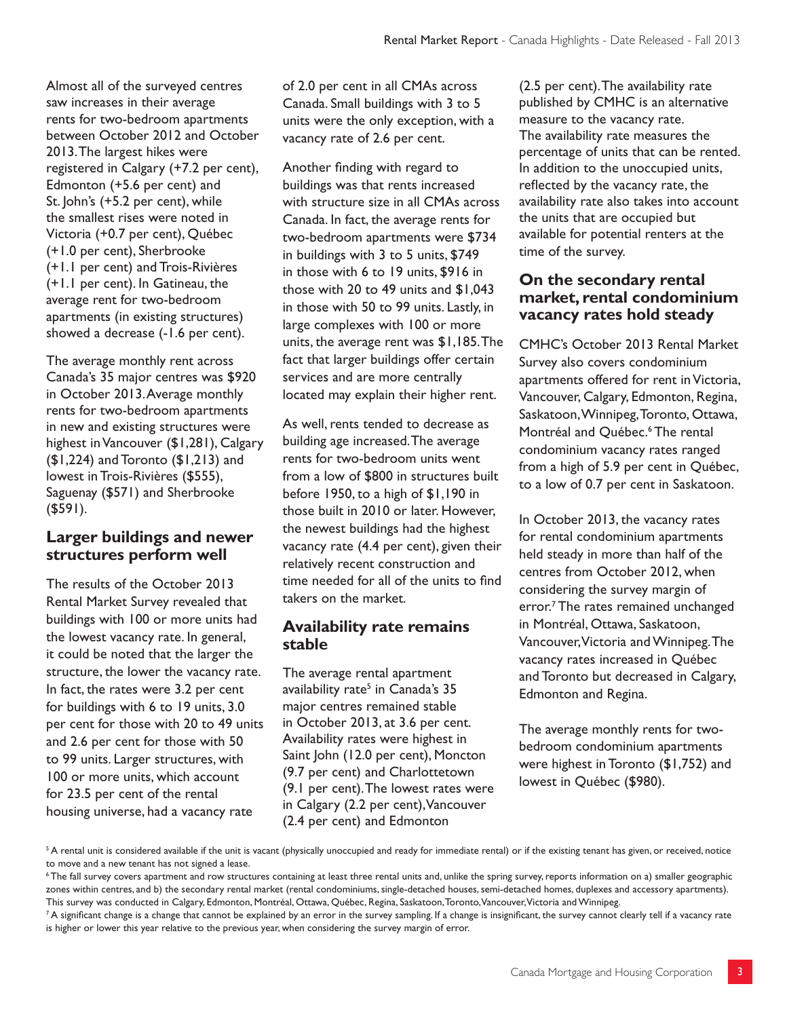Almost all of the surveyed centres saw increases in their average rents for two-bedroom apartments between October 2012 and October 2013. The largest hikes were registered in Calgary (+7.2 per cent), Edmonton (+5.6 per cent) and St. John's (+5.2 per cent), while the smallest rises were noted in Victoria (+0.7 per cent), Québec (+1.0 per cent), Sherbrooke (+1.1 per cent) and Trois-Rivières (+1.1 per cent). In Gatineau, the average rent for two-bedroom apartments (in existing structures) showed a decrease (-1.6 per cent).

The average monthly rent across Canada's 35 major centres was \$920 in October 2013. Average monthly rents for two-bedroom apartments in new and existing structures were highest in Vancouver (\$1,281), Calgary (\$1,224) and Toronto (\$1,213) and lowest in Trois-Rivières (\$555), Saguenay (\$571) and Sherbrooke (\$591).

## **Larger buildings and newer structures perform well**

The results of the October 2013 Rental Market Survey revealed that buildings with 100 or more units had the lowest vacancy rate. In general, it could be noted that the larger the structure, the lower the vacancy rate. In fact, the rates were 3.2 per cent for buildings with 6 to 19 units, 3.0 per cent for those with 20 to 49 units and 2.6 per cent for those with 50 to 99 units. Larger structures, with 100 or more units, which account for 23.5 per cent of the rental housing universe, had a vacancy rate

of 2.0 per cent in all CMAs across Canada. Small buildings with 3 to 5 units were the only exception, with a vacancy rate of 2.6 per cent.

Another finding with regard to buildings was that rents increased with structure size in all CMAs across Canada. In fact, the average rents for two-bedroom apartments were \$734 in buildings with 3 to 5 units, \$749 in those with 6 to 19 units, \$916 in those with 20 to 49 units and \$1,043 in those with 50 to 99 units. Lastly, in large complexes with 100 or more units, the average rent was \$1,185. The fact that larger buildings offer certain services and are more centrally located may explain their higher rent.

As well, rents tended to decrease as building age increased. The average rents for two-bedroom units went from a low of \$800 in structures built before 1950, to a high of \$1,190 in those built in 2010 or later. However, the newest buildings had the highest vacancy rate (4.4 per cent), given their relatively recent construction and time needed for all of the units to find takers on the market.

## **Availability rate remains stable**

The average rental apartment availability rate<sup>5</sup> in Canada's 35 major centres remained stable in October 2013, at 3.6 per cent. Availability rates were highest in Saint John (12.0 per cent), Moncton (9.7 per cent) and Charlottetown (9.1 per cent). The lowest rates were in Calgary (2.2 per cent), Vancouver (2.4 per cent) and Edmonton

(2.5 per cent). The availability rate published by CMHC is an alternative measure to the vacancy rate. The availability rate measures the percentage of units that can be rented. In addition to the unoccupied units, reflected by the vacancy rate, the availability rate also takes into account the units that are occupied but available for potential renters at the time of the survey.

## **On the secondary rental market, rental condominium vacancy rates hold steady**

CMHC's October 2013 Rental Market Survey also covers condominium apartments offered for rent in Victoria, Vancouver, Calgary, Edmonton, Regina, Saskatoon, Winnipeg, Toronto, Ottawa, Montréal and Québec.<sup>6</sup> The rental condominium vacancy rates ranged from a high of 5.9 per cent in Québec, to a low of 0.7 per cent in Saskatoon.

In October 2013, the vacancy rates for rental condominium apartments held steady in more than half of the centres from October 2012, when considering the survey margin of error.<sup>7</sup> The rates remained unchanged in Montréal, Ottawa, Saskatoon, Vancouver, Victoria and Winnipeg. The vacancy rates increased in Québec and Toronto but decreased in Calgary, Edmonton and Regina.

The average monthly rents for twobedroom condominium apartments were highest in Toronto (\$1,752) and lowest in Québec (\$980).

 $^5$  A rental unit is considered available if the unit is vacant (physically unoccupied and ready for immediate rental) or if the existing tenant has given, or received, notice to move and a new tenant has not signed a lease.

<sup>6</sup> The fall survey covers apartment and row structures containing at least three rental units and, unlike the spring survey, reports information on a) smaller geographic zones within centres, and b) the secondary rental market (rental condominiums, single-detached houses, semi-detached homes, duplexes and accessory apartments). This survey was conducted in Calgary, Edmonton, Montréal, Ottawa, Québec, Regina, Saskatoon, Toronto, Vancouver, Victoria and Winnipeg.

 $^7$ A significant change is a change that cannot be explained by an error in the survey sampling. If a change is insignificant, the survey cannot clearly tell if a vacancy rate is higher or lower this year relative to the previous year, when considering the survey margin of error.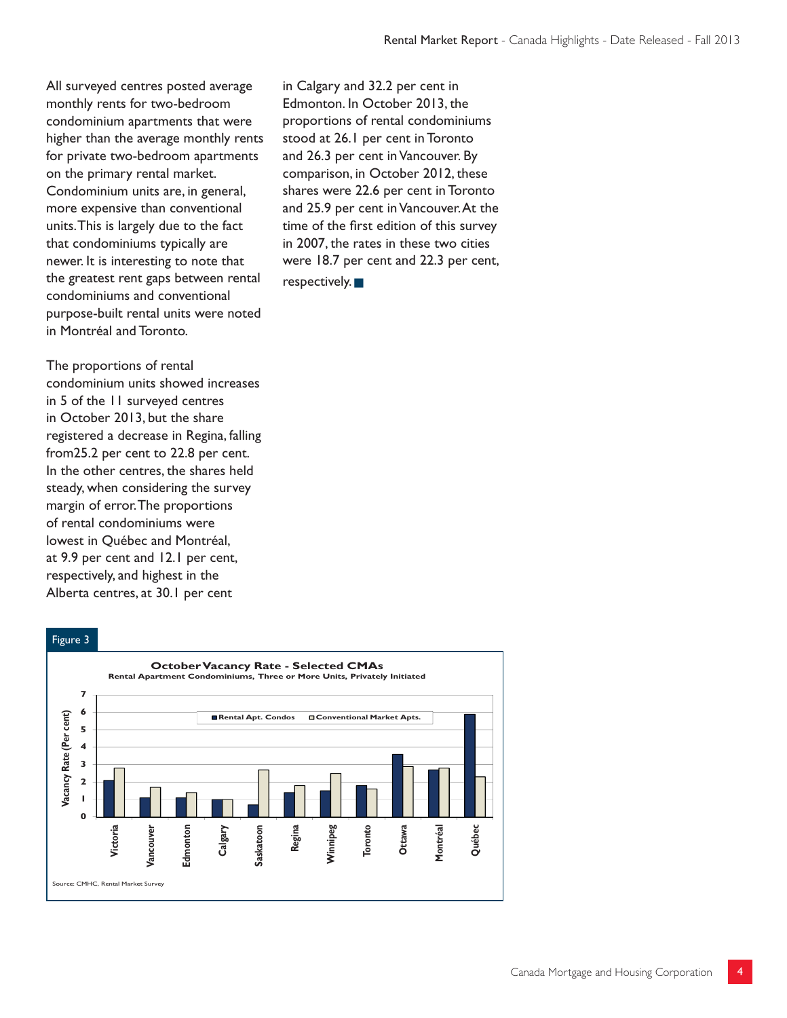All surveyed centres posted average monthly rents for two-bedroom condominium apartments that were higher than the average monthly rents for private two-bedroom apartments on the primary rental market. Condominium units are, in general, more expensive than conventional units. This is largely due to the fact that condominiums typically are newer. It is interesting to note that the greatest rent gaps between rental condominiums and conventional purpose-built rental units were noted in Montréal and Toronto.

The proportions of rental condominium units showed increases in 5 of the 11 surveyed centres in October 2013, but the share registered a decrease in Regina, falling from25.2 per cent to 22.8 per cent. In the other centres, the shares held steady, when considering the survey margin of error. The proportions of rental condominiums were lowest in Québec and Montréal, at 9.9 per cent and 12.1 per cent, respectively, and highest in the Alberta centres, at 30.1 per cent

in Calgary and 32.2 per cent in Edmonton. In October 2013, the proportions of rental condominiums stood at 26.1 per cent in Toronto and 26.3 per cent in Vancouver. By comparison, in October 2012, these shares were 22.6 per cent in Toronto and 25.9 per cent in Vancouver. At the time of the first edition of this survey in 2007, the rates in these two cities were 18.7 per cent and 22.3 per cent,  $r$ espectively.



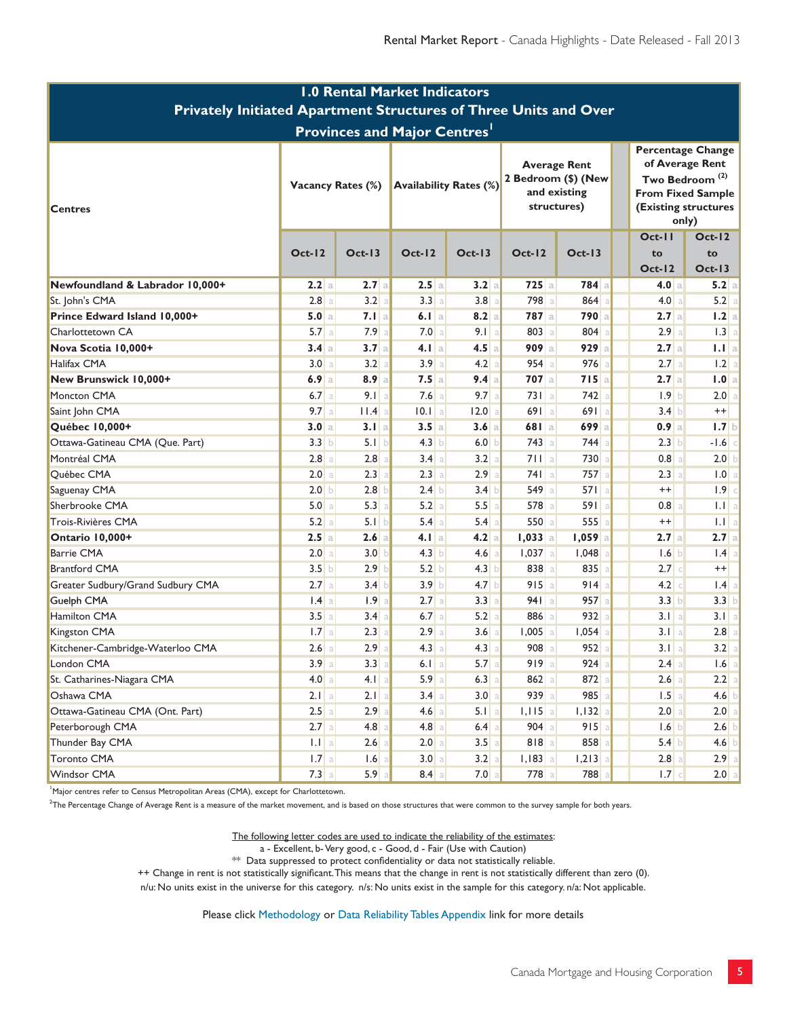| <b>1.0 Rental Market Indicators</b><br>Privately Initiated Apartment Structures of Three Units and Over |                          |                  |                  |                               |                                                                           |           |                                                                                                                                        |                   |                                 |                                     |
|---------------------------------------------------------------------------------------------------------|--------------------------|------------------|------------------|-------------------------------|---------------------------------------------------------------------------|-----------|----------------------------------------------------------------------------------------------------------------------------------------|-------------------|---------------------------------|-------------------------------------|
|                                                                                                         |                          |                  |                  |                               |                                                                           |           |                                                                                                                                        |                   |                                 | <b>Provinces and Major Centres'</b> |
| <b>Centres</b>                                                                                          | <b>Vacancy Rates (%)</b> |                  |                  | <b>Availability Rates (%)</b> | <b>Average Rent</b><br>2 Bedroom (\$) (New<br>and existing<br>structures) |           | <b>Percentage Change</b><br>of Average Rent<br>Two Bedroom <sup>(2)</sup><br><b>From Fixed Sample</b><br>(Existing structures<br>only) |                   |                                 |                                     |
|                                                                                                         | <b>Oct-12</b>            | $Oct-13$         | $Oct-12$         | $Oct-13$                      | $Oct-12$                                                                  | $Oct-13$  |                                                                                                                                        | $Oct-II$<br>to    | $Oct-12$<br>to<br><b>Oct-13</b> |                                     |
| Newfoundland & Labrador 10,000+                                                                         | 2.2a                     | 2.7a             | 2.5a             | 3.2a                          | $725$ a                                                                   | $784$ a   |                                                                                                                                        | $Oct-12$<br>4.0 a | 5.2 a                           |                                     |
| St. John's CMA                                                                                          | $2.8$ a                  | 3.2              | 3.3 a            | $3.8$ a                       | 798 a                                                                     | 864       |                                                                                                                                        | 4.0 a             | 5.2 a                           |                                     |
| Prince Edward Island 10,000+                                                                            | 5.0 a                    | $7.1$ a          | 6.1 a            | 8.2 a                         | $787$ a                                                                   | 790a      |                                                                                                                                        | 2.7a              | 1.2 a                           |                                     |
| Charlottetown CA                                                                                        | 5.7a                     | 7.9              | 7.0 a            | $9.1$ a                       | 803 a                                                                     | 804       |                                                                                                                                        | 2.9a              | 1.3 a                           |                                     |
| Nova Scotia 10,000+                                                                                     | 3.4a                     | 3.7a             | 4.1 a            | 4.5a                          | $909$ a                                                                   | 929a      |                                                                                                                                        | 2.7a              | 1.1 a                           |                                     |
| Halifax CMA                                                                                             | 3.0 <sub>a</sub>         | 3.2              | 3.9a             | $4.2$ a                       | $954$ a                                                                   | 976       |                                                                                                                                        | 2.7 a             | 1.2 a                           |                                     |
| New Brunswick 10,000+                                                                                   | 6.9a                     | $8.9$ a          | $7.5$ a          | 9.4 a                         | $707$ a                                                                   | 715a      |                                                                                                                                        | 2.7a              | 1.0 a                           |                                     |
| Moncton CMA                                                                                             | 6.7a                     | 9.1 a            | 7.6a             | 9.7a                          | $731$ a                                                                   | 742       |                                                                                                                                        | 1.9 b             | 2.0 a                           |                                     |
| Saint John CMA                                                                                          | 9.7a                     | I.A              | $10.1$ a         | $12.0$ a                      | 691a                                                                      | 691a      |                                                                                                                                        | 3.4 b             | $^{++}$                         |                                     |
| Québec 10,000+                                                                                          | 3.0 a                    | $3.1$ a          | $3.5$ a          | 3.6a                          | 681a                                                                      | 699a      |                                                                                                                                        | 0.9a              | 1.7 b                           |                                     |
| Ottawa-Gatineau CMA (Que. Part)                                                                         | 3.3 b                    | 5.1 b            | 4.3 b            | 6.0 b                         | $743$ a                                                                   | 744       |                                                                                                                                        | 2.3 b             | $-1.6$ c                        |                                     |
| Montréal CMA                                                                                            | $2.8$ a                  | 2.8              | 3.4 a            | 3.2 a                         | 711a                                                                      | 730       |                                                                                                                                        | 0.8 a             | 2.0 b                           |                                     |
| Québec CMA                                                                                              | 2.0 a                    | 2.3              | 2.3 a            | 2.9a                          | 741a                                                                      | 757       |                                                                                                                                        | 2.3 a             | 1.0 a                           |                                     |
| Saguenay CMA                                                                                            | 2.0 <sub>b</sub>         | 2.8              | 2.4 b            | 3.4 b                         | 549 a                                                                     | 571a      |                                                                                                                                        | $^{++}$           | $1.9$ c                         |                                     |
| Sherbrooke CMA                                                                                          | 5.0 a                    | 5.3              | 5.2 a            | 5.5a                          | 578 a                                                                     | 591a      |                                                                                                                                        | 0.8 a             | 1.1 a                           |                                     |
| Trois-Rivières CMA                                                                                      | 5.2 a                    | 5.1 b            | $5.4$ a          | $5.4$ a                       | 550a                                                                      | 555       |                                                                                                                                        | $^{++}$           | 1.1 a                           |                                     |
| Ontario 10,000+                                                                                         | 2.5a                     | 2.6a             | $4.1$   a        | $4.2$ a                       | $1,033$ a                                                                 | $1,059$ a |                                                                                                                                        | 2.7a              | 2.7 a                           |                                     |
| <b>Barrie CMA</b>                                                                                       | 2.0 a                    | 3.0              | 4.3 b            | $4.6$ a                       | $1,037$ a                                                                 | 1,048     |                                                                                                                                        | 1.6 b             | $1.4 \text{ a}$                 |                                     |
| <b>Brantford CMA</b>                                                                                    | 3.5 b                    | 2.9 <sub>b</sub> | 5.2 b            | 4.3 b                         | 838 a                                                                     | 835       |                                                                                                                                        | $2.7$ c           | $++$                            |                                     |
| Greater Sudbury/Grand Sudbury CMA                                                                       | 2.7a                     | 3.4 b            | 3.9 <sub>b</sub> | 4.7 b                         | 915a                                                                      | 914       |                                                                                                                                        | $4.2$ $\circ$     | $ .4 $ a                        |                                     |
| Guelph CMA                                                                                              | $ .4 $ a                 | 1.9<br>a         | 2.7a             | 3.3 a                         | 941a                                                                      | 957       |                                                                                                                                        | 3.3 b             | 3.3 b                           |                                     |
| Hamilton CMA                                                                                            | 3.5a                     | 3.4              | $6.7$ a          | 5.2 a                         | 886 a                                                                     | 932       |                                                                                                                                        | 3.1 a             | 3.1 a                           |                                     |
| Kingston CMA                                                                                            | 1.7a                     | 2.3              | 2.9a             | 3.6a                          | $1,005$ a                                                                 | $1,054$ a |                                                                                                                                        | 3.1 a             | $2.8$   a                       |                                     |
| Kitchener-Cambridge-Waterloo CMA                                                                        | $2.6$ a                  | 2.9              | $4.3$ a          | 4.3 a                         | 908 a                                                                     | 952       |                                                                                                                                        | 3.1 a             | 3.2 a                           |                                     |
| London CMA                                                                                              | 3.9a                     | $3.3$ a          | 6.1 a            | $5.7$ a                       | 919a                                                                      | $924$ a   |                                                                                                                                        | 2.4 a             | $1.6$ a                         |                                     |
| St. Catharines-Niagara CMA                                                                              | 4.0 a                    | $4.1$ a          | $5.9$ a          | $6.3$ a                       | $862$ a                                                                   | $872$ a   |                                                                                                                                        | $2.6$ a           | $2.2$ a                         |                                     |
| Oshawa CMA                                                                                              | $2.1$   a                | $2.1$ a          | $3.4$ a          | 3.0 a                         | 939 a                                                                     | $985$ a   |                                                                                                                                        | $1.5$ a           | $4.6$ b                         |                                     |
| Ottawa-Gatineau CMA (Ont. Part)                                                                         | $2.5$ a                  | 2.9              | $4.6$ a          | 5.1 a                         | $1,115$ a                                                                 | $1,132$ a |                                                                                                                                        | 2.0 a             | 2.0 a                           |                                     |
| Peterborough CMA                                                                                        | $2.7$ a                  | 4.8              | $4.8$ a          | $6.4$ a                       | $904$ a                                                                   | $915$ a   |                                                                                                                                        | 1.6               | $2.6$ b                         |                                     |
| Thunder Bay CMA                                                                                         | $ 1.1 $ a                | 2.6              | 2.0 a            | $3.5$ a                       | $818$ a                                                                   | 858       |                                                                                                                                        | $5.4$ b           | $4.6$ b                         |                                     |
| <b>Toronto CMA</b>                                                                                      | $1.7$ a                  | 1.6              | 3.0 a            | 3.2 a                         | $I, I83$ a                                                                | $1,213$ a |                                                                                                                                        | 2.8 a             | $2.9$ a                         |                                     |
| Windsor CMA                                                                                             | 7.3 a                    | 5.9              | $8.4 \text{ a}$  | $7.0$ a                       | 778 a                                                                     | 788       |                                                                                                                                        | 1.7 c             | $2.0$ a                         |                                     |

'Major centres refer to Census Metropolitan Areas (CMA), except for Charlottetown.

<sup>2</sup>The Percentage Change of Average Rent is a measure of the market movement, and is based on those structures that were common to the survey sample for both years.

The following letter codes are used to indicate the reliability of the estimates:

a - Excellent, b-Very good, c - Good, d - Fair (Use with Caution)

 $**$  Data suppressed to protect confidentiality or data not statistically reliable.

++ Change in rent is not statistically significant. This means that the change in rent is not statistically different than zero (0).

n/u: No units exist in the universe for this category. n/s: No units exist in the sample for this category. n/a: Not applicable.

Please click Methodology or Data Reliability Tables Appendix link for more details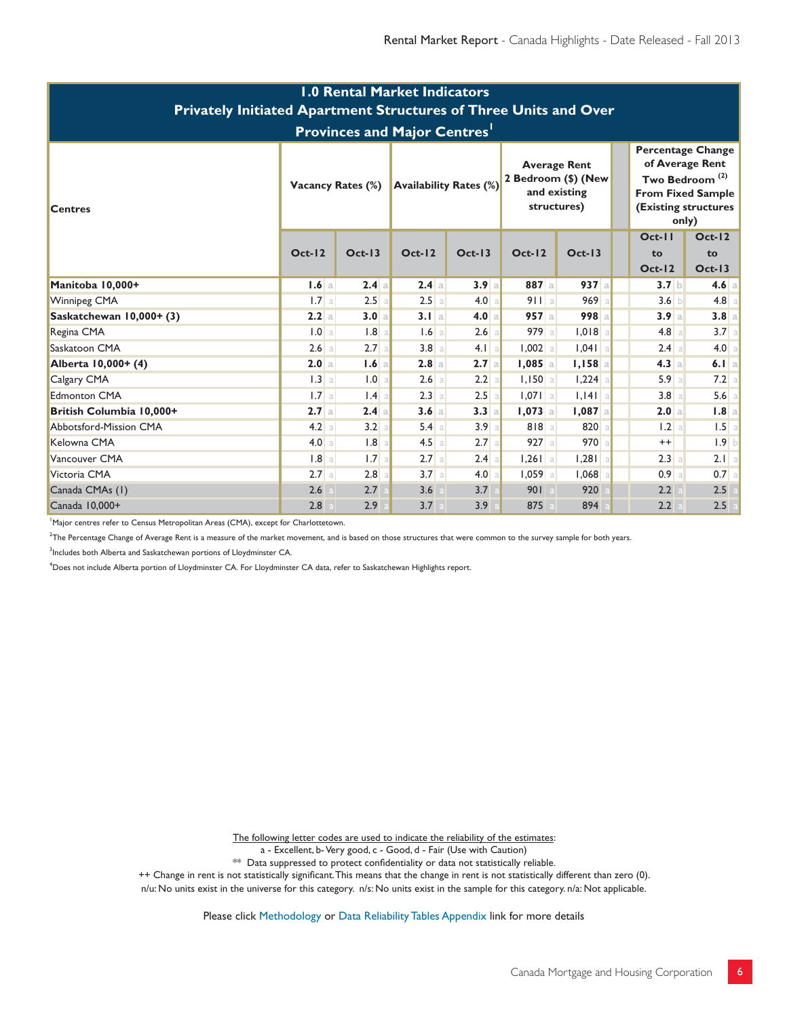| <b>1.0 Rental Market Indicators</b><br><b>Privately Initiated Apartment Structures of Three Units and Over</b><br><b>Provinces and Major Centres'</b> |                          |                  |          |                               |                     |                                                    |                                                                                                                                        |                            |  |  |  |
|-------------------------------------------------------------------------------------------------------------------------------------------------------|--------------------------|------------------|----------|-------------------------------|---------------------|----------------------------------------------------|----------------------------------------------------------------------------------------------------------------------------------------|----------------------------|--|--|--|
| <b>Centres</b>                                                                                                                                        | <b>Vacancy Rates (%)</b> |                  |          | <b>Availability Rates (%)</b> | 2 Bedroom (\$) (New | <b>Average Rent</b><br>and existing<br>structures) | Percentage Change<br>of Average Rent<br>Two Bedroom <sup>(2)</sup><br><b>From Fixed Sample</b><br><b>(Existing structures</b><br>only) |                            |  |  |  |
|                                                                                                                                                       | $Oct-12$                 | $Oct-13$         | $Oct-12$ | $Oct-13$                      | $Oct-12$            | $Oct-13$                                           | $Oct-II$<br>to<br>$Oct-12$                                                                                                             | $Oct-12$<br>to<br>$Oct-13$ |  |  |  |
| Manitoba 10,000+                                                                                                                                      | 1.6a                     | 2.4a             | 2.4a     | 3.9a                          | $887$ a             | 937a                                               | 3.7 <sub>b</sub>                                                                                                                       | $4.6$ a                    |  |  |  |
| <b>Winnipeg CMA</b>                                                                                                                                   | 1.7a                     | $2.5$ a          | 2.5a     | 4.0 a                         | 911a                | 969a                                               | 3.6 b                                                                                                                                  | $4.8$ a                    |  |  |  |
| Saskatchewan 10,000+ (3)                                                                                                                              | 2.2a                     | 3.0 a            | 3.1 a    | 4.0 a                         | 957a                | $998$ a                                            | 3.9a                                                                                                                                   | 3.8 a                      |  |  |  |
| Regina CMA                                                                                                                                            | 1.0 a                    | 1.8              | $1.6$ a  | $2.6$ a                       | 979a                | $1,018$ a                                          | $4.8$ a                                                                                                                                | $3.7$ a                    |  |  |  |
| Saskatoon CMA                                                                                                                                         | 2.6a                     | 2.7a             | $3.8$ a  | $4.1$ a                       | $1,002$ a           | $1,041$ a                                          | 2.4a                                                                                                                                   | 4.0 a                      |  |  |  |
| Alberta 10,000+ (4)                                                                                                                                   | 2.0 a                    | 1.6a             | 2.8a     | 2.7a                          | $1,085$ a           | $1,158$ a                                          | 4.3 a                                                                                                                                  | 6.1 a                      |  |  |  |
| Calgary CMA                                                                                                                                           | 1.3a                     | 1.0              | $2.6$ a  | 2.2 a                         | $1,150$ a           | $1,224$ a                                          | 5.9a                                                                                                                                   | 7.2 a                      |  |  |  |
| <b>Edmonton CMA</b>                                                                                                                                   | 1.7a                     | .4               | 2.3 a    | $2.5$ a                       | $1,071$ a           | $1,141$ a                                          | 3.8 a                                                                                                                                  | $5.6$ a                    |  |  |  |
| British Columbia 10,000+                                                                                                                              | 2.7a                     | 2.4a             | 3.6a     | 3.3a                          | $1,073$ a           | $1,087$ a                                          | 2.0 a                                                                                                                                  | 1.8 a                      |  |  |  |
| <b>Abbotsford-Mission CMA</b>                                                                                                                         | 4.2 a                    | 3.2<br>a         | $5.4$ a  | 3.9a                          | 818a                | 820                                                | 1.2 a                                                                                                                                  | $1.5$ a                    |  |  |  |
| Kelowna CMA                                                                                                                                           | 4.0 a                    | 1.8              | 4.5 a    | 2.7a                          | 927a                | 970a                                               | $^{++}$                                                                                                                                | $1.9$ b                    |  |  |  |
| Vancouver CMA                                                                                                                                         | 1.8a                     | 1.7 <sub>a</sub> | $2.7$ a  | 2.4a                          | $1,261$ a           | $1,281$ a                                          | 2.3 a                                                                                                                                  | $2.1$   a                  |  |  |  |
| Victoria CMA                                                                                                                                          | $2.7$ a                  | 2.8              | 3.7 a    | 4.0 a                         | $1,059$ a           | 1,068                                              | $0.9$   a                                                                                                                              | $0.7$ a                    |  |  |  |
| Canada CMAs (1)                                                                                                                                       | 2.6                      | 2.7              | 3.6      | 3.7                           | 901                 | 920                                                | 2.2                                                                                                                                    | 2.5                        |  |  |  |
| Canada 10,000+                                                                                                                                        | 2.8                      | 2.9              | 3.7      | 3.9                           | 875                 | 894                                                | 2.2                                                                                                                                    | 2.5                        |  |  |  |

<sup>1</sup>Major centres refer to Census Metropolitan Areas (CMA), except for Charlottetown.

 $2$ The Percentage Change of Average Rent is a measure of the market movement, and is based on those structures that were common to the survey sample for both years.

<sup>3</sup>Includes both Alberta and Saskatchewan portions of Lloydminster CA.

<sup>4</sup>Does not include Alberta portion of Lloydminster CA. For Lloydminster CA data, refer to Saskatchewan Highlights report.

The following letter codes are used to indicate the reliability of the estimates:

a - Excellent, b- Very good, c - Good, d - Fair (Use with Caution)

\*\* Data suppressed to protect confidentiality or data not statistically reliable.

++ Change in rent is not statistically significant. This means that the change in rent is not statistically different than zero (0).

n/u: No units exist in the universe for this category. n/s: No units exist in the sample for this category. n/a: Not applicable.

Please click Methodology or Data Reliability Tables Appendix link for more details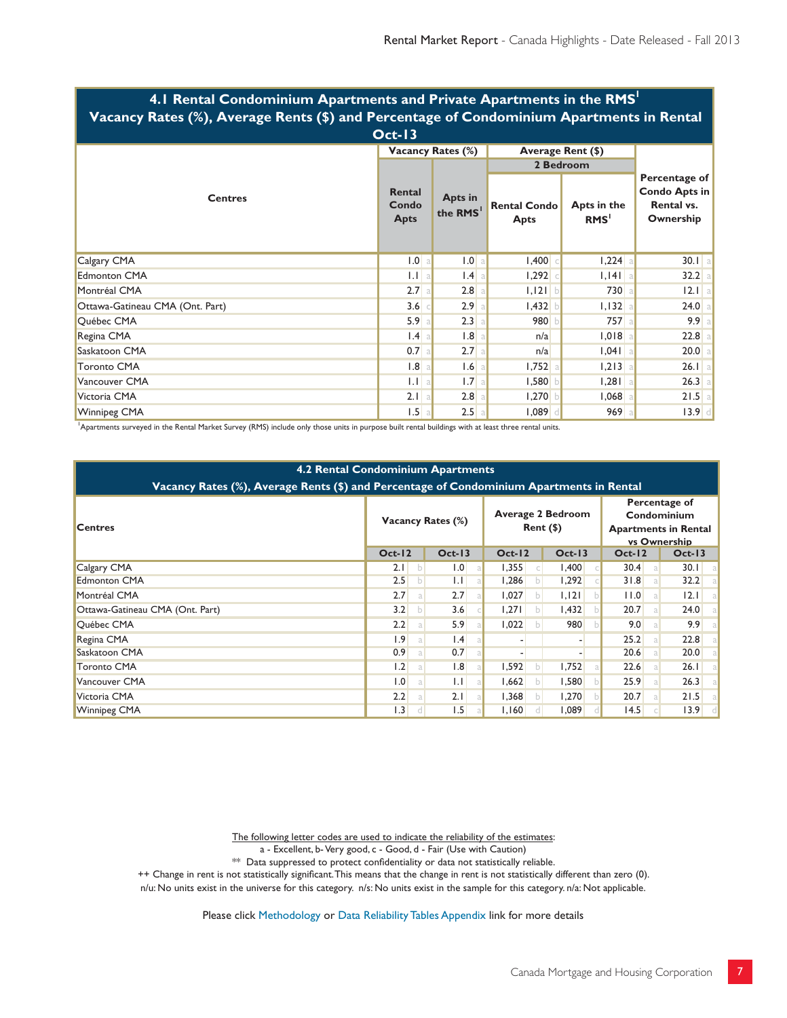| Vacancy Rates (%), Average Rents (\$) and Percentage of Condominium Apartments in Rental |                  |                          |                                    |                                                           |          |                                 |  |  |  |  |  |
|------------------------------------------------------------------------------------------|------------------|--------------------------|------------------------------------|-----------------------------------------------------------|----------|---------------------------------|--|--|--|--|--|
| $Oct-13$                                                                                 |                  |                          |                                    |                                                           |          |                                 |  |  |  |  |  |
|                                                                                          |                  | <b>Vacancy Rates (%)</b> | Average Rent (\$)                  | Percentage of<br>Condo Apts in<br>Rental vs.<br>Ownership |          |                                 |  |  |  |  |  |
|                                                                                          |                  |                          | 2 Bedroom                          |                                                           |          |                                 |  |  |  |  |  |
| <b>Centres</b>                                                                           |                  | Apts in<br>the RMS       | <b>Rental Condo</b><br><b>Apts</b> |                                                           |          | Apts in the<br>RMS <sup>1</sup> |  |  |  |  |  |
| Calgary CMA                                                                              | 1.0 <sub>a</sub> | 1.0 a                    | 1,400                              | 1,224                                                     | $30.1$ a |                                 |  |  |  |  |  |
| <b>Edmonton CMA</b>                                                                      | $1.1$ a          | $1.4$ a                  | 1,292                              | $1,141$ a                                                 | 32.2 a   |                                 |  |  |  |  |  |
| Montréal CMA                                                                             | 2.7a             | $2.8$ a                  | $1,121$ b                          | 730                                                       | $12.1$ a |                                 |  |  |  |  |  |
| Ottawa-Gatineau CMA (Ont. Part)                                                          | $3.6$ $\circ$    | 2.9a                     | $1,432$ b                          | 1,132                                                     | $24.0$ a |                                 |  |  |  |  |  |
| Québec CMA                                                                               | 5.9a             | 2.3 a                    | 980                                | 757                                                       | 9.9a     |                                 |  |  |  |  |  |
| Regina CMA                                                                               | 1.4 a            | $1.8$ a                  | n/a                                | 1,018                                                     | $22.8$ a |                                 |  |  |  |  |  |
| Saskatoon CMA                                                                            | $0.7$ a          | 2.7a                     | n/a                                | $1,041$ a                                                 | $20.0$ a |                                 |  |  |  |  |  |
| <b>Toronto CMA</b>                                                                       | $1.8$ a          | $1.6$ a                  | $1,752$ a                          | 1,213                                                     | $26.1$ a |                                 |  |  |  |  |  |
| Vancouver CMA                                                                            | 1.1 a            | 1.7a                     | 1,580                              | $1,281$ a                                                 | $26.3$ a |                                 |  |  |  |  |  |
| Victoria CMA                                                                             | 2.1 a            | $2.8$ a                  | 1,270                              | 1,068                                                     | $21.5$ a |                                 |  |  |  |  |  |
| <b>Winnipeg CMA</b>                                                                      | $1.5$ a          | $2.5$ a                  | 0.089                              | 969                                                       | $13.9$ d |                                 |  |  |  |  |  |

## **4.1 Rental Condominium Apartments and Private Apartments in the RMS1**

1 Apartments surveyed in the Rental Market Survey (RMS) include only those units in purpose built rental buildings with at least three rental units.

#### **4.2 Rental Condominium Apartments**

| Vacancy Rates (%), Average Rents (\$) and Percentage of Condominium Apartments in Rental |                          |                 |                                         |          |                                                                             |              |  |  |  |  |  |
|------------------------------------------------------------------------------------------|--------------------------|-----------------|-----------------------------------------|----------|-----------------------------------------------------------------------------|--------------|--|--|--|--|--|
| <b>Centres</b>                                                                           | <b>Vacancy Rates (%)</b> |                 | <b>Average 2 Bedroom</b><br>$Rent$ (\$) |          | Percentage of<br>Condominium<br><b>Apartments in Rental</b><br>vs Ownership |              |  |  |  |  |  |
|                                                                                          | $Oct-12$                 | $Oct-13$        | $Oct-12$                                | $Oct-13$ | <b>Oct-12</b>                                                               | $Oct-13$     |  |  |  |  |  |
| Calgary CMA                                                                              | 2.1<br>b                 | 1.0             | 1,355                                   | 1,400    | 30.4                                                                        | 30.1<br>- al |  |  |  |  |  |
| <b>Edmonton CMA</b>                                                                      | 2.5<br>b.                | $\mathsf{L}$    | 1,286                                   | 1,292    | 31.8                                                                        | 32.2<br>- al |  |  |  |  |  |
| Montréal CMA                                                                             | 2.7                      | 2.7             | 1,027                                   | 1,121    | 11.0<br>al                                                                  | 12.1<br>-al  |  |  |  |  |  |
| Ottawa-Gatineau CMA (Ont. Part)                                                          | 3.2<br>b                 | 3.6             | 1,271                                   | 1,432    | 20.7<br>a                                                                   | 24.0<br>- al |  |  |  |  |  |
| Québec CMA                                                                               | 2.2                      | 5.9             | 1,022                                   | 980      | 9.0                                                                         | 9.9<br>- al  |  |  |  |  |  |
| Regina CMA                                                                               | $\vert .9 \vert$<br>a    | $\mathsf{I}$ .4 |                                         |          | 25.2<br>a                                                                   | 22.8<br>- al |  |  |  |  |  |
| Saskatoon CMA                                                                            | 0.9<br>a                 | 0.7             |                                         |          | 20.6<br>a                                                                   | 20.0<br>- al |  |  |  |  |  |
| Toronto CMA                                                                              | 1.2                      | 1.8             | 1,592                                   | 1,752    | 22.6                                                                        | 26.1<br>- al |  |  |  |  |  |
| Vancouver CMA                                                                            | $\overline{1.0}$<br>a    | $\mathsf{L}$    | 1,662                                   | 1,580    | 25.9<br>a                                                                   | 26.3<br>- al |  |  |  |  |  |
| Victoria CMA                                                                             | 2.2<br>a                 | 2.1             | 1,368                                   | 1,270    | 20.7<br>a                                                                   | 21.5<br>- al |  |  |  |  |  |
| <b>Winnipeg CMA</b>                                                                      | $\vert .3 \vert$         | 1.5             | 1,160                                   | 089      | 14.5                                                                        | $13.9$ d     |  |  |  |  |  |

The following letter codes are used to indicate the reliability of the estimates:

a - Excellent, b- Very good, c - Good, d - Fair (Use with Caution)

 $**$  Data suppressed to protect confidentiality or data not statistically reliable.

++ Change in rent is not statistically significant. This means that the change in rent is not statistically different than zero (0).

n/u: No units exist in the universe for this category. n/s: No units exist in the sample for this category. n/a: Not applicable.

Please click Methodology or Data Reliability Tables Appendix link for more details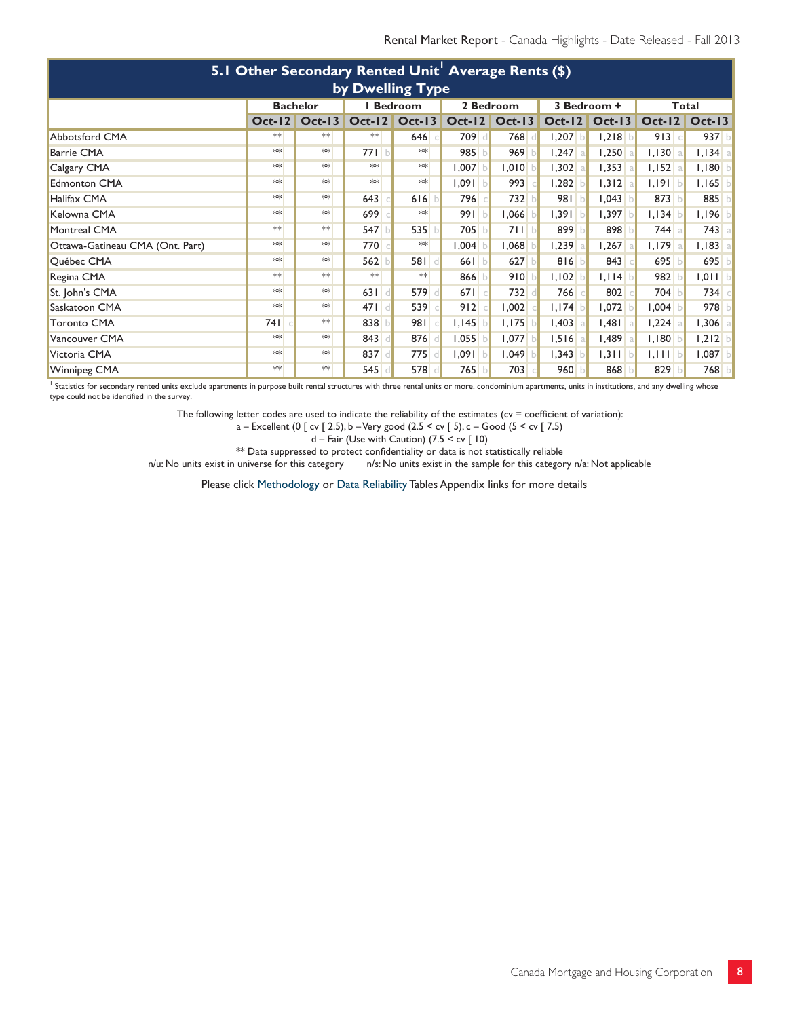| 5.1 Other Secondary Rented Unit <sup>1</sup> Average Rents (\$) |                 |          |                |                             |            |                 |             |                      |           |           |  |
|-----------------------------------------------------------------|-----------------|----------|----------------|-----------------------------|------------|-----------------|-------------|----------------------|-----------|-----------|--|
| by Dwelling Type                                                |                 |          |                |                             |            |                 |             |                      |           |           |  |
|                                                                 | <b>Bachelor</b> |          | <b>Bedroom</b> |                             | 2 Bedroom  |                 | 3 Bedroom + |                      | Total     |           |  |
|                                                                 | $Oct-12$        | $Oct-13$ |                | Oct-12 Oct-13 Oct-12 Oct-13 |            |                 |             | <b>Oct-12 Oct-13</b> | $Oct-12$  | $Oct-13$  |  |
| <b>Abbotsford CMA</b>                                           | $*$             | **       | $**$           | 646                         | 709 d      | 768<br>d        | $1,207$ b   | 1,218                | 913       | 937 b     |  |
| <b>Barrie CMA</b>                                               | $*$             | $*$      | $77$           | $**$                        | 985        | 969             | $1,247$ a   | 1,250                | 1,130     | $1,134$ a |  |
| Calgary CMA                                                     | $*$             | $*$      | $**$           | **                          | ,007       | 010             | $1,302$ a   | 1,353                | $1,152$ a | $1,180$ b |  |
| <b>Edmonton CMA</b>                                             | $*$             | **       | $**$           | $*$                         | 1,09       | 993             | $1,282$ b   | 1,312                | $1,191$ b | $1,165$ b |  |
| Halifax CMA                                                     | $**$            | $**$     | 643            | 616                         | 796        | 732<br><b>b</b> | 981 b       | 1,043                | 873 b     | 885 b     |  |
| Kelowna CMA                                                     | $**$            | $**$     | 699            | $*$                         | 991 b      | 1,066           | $1,391$ b   | 1,397                | 1,134     | $1,196$ b |  |
| Montreal CMA                                                    | $**$            | **       | 547            | 535                         | 705        | 711 b           | 899 b       | 898                  | 744       | $743$ a   |  |
| Ottawa-Gatineau CMA (Ont. Part)                                 | $*$             | $*$      | 770            | $*$                         | 1,004      | 1,068           | $1,239$ a   | $1,267$ a            | $1,179$ a | $1,183$ a |  |
| Québec CMA                                                      | $*$             | $*$      | 562            | 581 d                       | 661 b      | 627<br>b        | $816$ b     | 843                  | 695       | 695 $b$   |  |
| Regina CMA                                                      | $*$             | **       | $**$           | $*$                         | 866        | 910             | $1,102$ b   | $1,114$ b            | 982       | $1,011$ b |  |
| St. John's CMA                                                  | $**$            | $**$     | 631            | 579                         | $67$   $c$ | 732             | 766 €       | 802                  | 704       | 734 c     |  |
| Saskatoon CMA                                                   | $*$             | **       | 471            | 539                         | 912        | 1,002           | $1,174$ b   | 1,072                | 1,004     | 978 $b$   |  |
| <b>Toronto CMA</b>                                              | 741             | $**$     | 838            | 981c                        | 1,145      | 1,175           | $1,403$ a   | $1,481$ a            | 1,224     | $1,306$ a |  |
| Vancouver CMA                                                   | $**$            | $**$     | 843            | 876                         | 1,055      | 1,077<br>b      | $1,516$ a   | $1,489$ a            | 1,180     | $1,212$ b |  |
| Victoria CMA                                                    | $*$             | $*$      | 837            | 775                         | l,091 b    | 1,049           | $1,343$ b   | $1,311$ b            | $1,111$ b | $1,087$ b |  |
| Winnipeg CMA                                                    | $*$             | **       | 545            | 578                         | 765        | 703             | 960 b       | 868                  | 829 b     | 768 b     |  |

<sup>1</sup> Statistics for secondary rented units exclude apartments in purpose built rental structures with three rental units or more, condominium apartments, units in institutions, and any dwelling whose type could not be identified in the survey.

The following letter codes are used to indicate the reliability of the estimates ( $cv = coefficient$  of variation):

a – Excellent (0 [ cv [ 2.5), b – Very good (2.5 < cv [ 5), c – Good (5 < cv [ 7.5)

d – Fair (Use with Caution) (7.5 < cv [ 10)

 $**$  Data suppressed to protect confidentiality or data is not statistically reliable

n/u: No units exist in universe for this category n/s: No units exist in the sample for this category n/a: Not applicable

Please click Methodology or Data Reliability Tables Appendix links for more details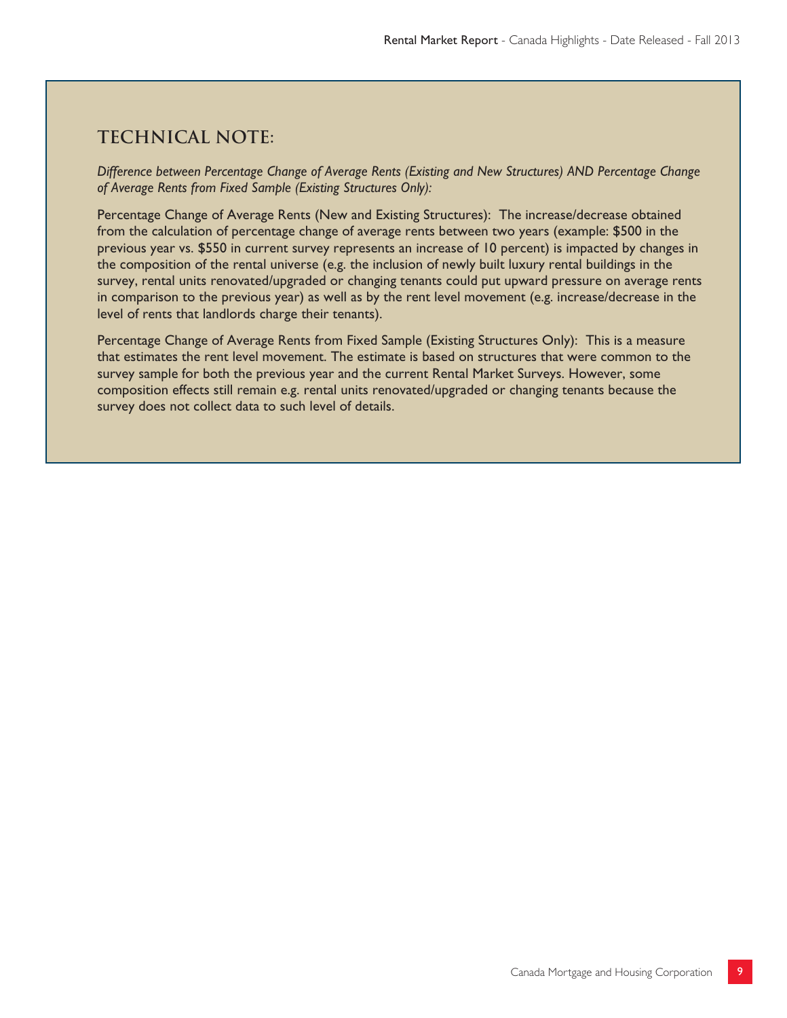## **Technical note:**

*Difference between Percentage Change of Average Rents (Existing and New Structures) AND Percentage Change of Average Rents from Fixed Sample (Existing Structures Only):*

Percentage Change of Average Rents (New and Existing Structures): The increase/decrease obtained from the calculation of percentage change of average rents between two years (example: \$500 in the previous year vs. \$550 in current survey represents an increase of 10 percent) is impacted by changes in the composition of the rental universe (e.g. the inclusion of newly built luxury rental buildings in the survey, rental units renovated/upgraded or changing tenants could put upward pressure on average rents in comparison to the previous year) as well as by the rent level movement (e.g. increase/decrease in the level of rents that landlords charge their tenants).

Percentage Change of Average Rents from Fixed Sample (Existing Structures Only): This is a measure that estimates the rent level movement. The estimate is based on structures that were common to the survey sample for both the previous year and the current Rental Market Surveys. However, some composition effects still remain e.g. rental units renovated/upgraded or changing tenants because the survey does not collect data to such level of details.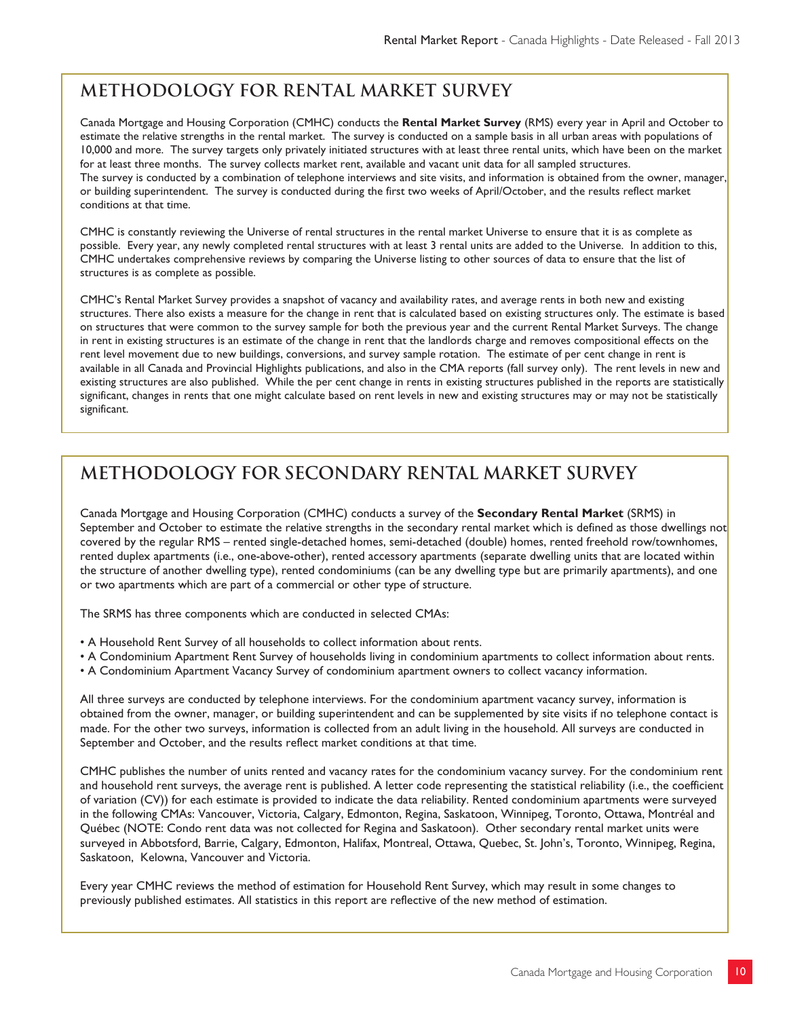## **METHODOLOGY FOR RENTAL MARKET SURVEY**

Canada Mortgage and Housing Corporation (CMHC) conducts the **Rental Market Survey** (RMS) every year in April and October to estimate the relative strengths in the rental market. The survey is conducted on a sample basis in all urban areas with populations of 10,000 and more. The survey targets only privately initiated structures with at least three rental units, which have been on the market for at least three months. The survey collects market rent, available and vacant unit data for all sampled structures. The survey is conducted by a combination of telephone interviews and site visits, and information is obtained from the owner, manager, or building superintendent. The survey is conducted during the first two weeks of April/October, and the results reflect market conditions at that time.

CMHC is constantly reviewing the Universe of rental structures in the rental market Universe to ensure that it is as complete as possible. Every year, any newly completed rental structures with at least 3 rental units are added to the Universe. In addition to this, CMHC undertakes comprehensive reviews by comparing the Universe listing to other sources of data to ensure that the list of structures is as complete as possible.

CMHC's Rental Market Survey provides a snapshot of vacancy and availability rates, and average rents in both new and existing structures. There also exists a measure for the change in rent that is calculated based on existing structures only. The estimate is based on structures that were common to the survey sample for both the previous year and the current Rental Market Surveys. The change in rent in existing structures is an estimate of the change in rent that the landlords charge and removes compositional effects on the rent level movement due to new buildings, conversions, and survey sample rotation. The estimate of per cent change in rent is available in all Canada and Provincial Highlights publications, and also in the CMA reports (fall survey only). The rent levels in new and existing structures are also published. While the per cent change in rents in existing structures published in the reports are statistically significant, changes in rents that one might calculate based on rent levels in new and existing structures may or may not be statistically significant.

## **METHODOLOGY FOR SECONDARY RENTAL MARKET SURVEY**

Canada Mortgage and Housing Corporation (CMHC) conducts a survey of the **Secondary Rental Market** (SRMS) in September and October to estimate the relative strengths in the secondary rental market which is defined as those dwellings not covered by the regular RMS – rented single-detached homes, semi-detached (double) homes, rented freehold row/townhomes, rented duplex apartments (i.e., one-above-other), rented accessory apartments (separate dwelling units that are located within the structure of another dwelling type), rented condominiums (can be any dwelling type but are primarily apartments), and one or two apartments which are part of a commercial or other type of structure.

The SRMS has three components which are conducted in selected CMAs:

- A Household Rent Survey of all households to collect information about rents.
- A Condominium Apartment Rent Survey of households living in condominium apartments to collect information about rents.
- A Condominium Apartment Vacancy Survey of condominium apartment owners to collect vacancy information.

All three surveys are conducted by telephone interviews. For the condominium apartment vacancy survey, information is obtained from the owner, manager, or building superintendent and can be supplemented by site visits if no telephone contact is made. For the other two surveys, information is collected from an adult living in the household. All surveys are conducted in September and October, and the results reflect market conditions at that time.

CMHC publishes the number of units rented and vacancy rates for the condominium vacancy survey. For the condominium rent and household rent surveys, the average rent is published. A letter code representing the statistical reliability (i.e., the coefficient of variation (CV)) for each estimate is provided to indicate the data reliability. Rented condominium apartments were surveyed in the following CMAs: Vancouver, Victoria, Calgary, Edmonton, Regina, Saskatoon, Winnipeg, Toronto, Ottawa, Montréal and Québec (NOTE: Condo rent data was not collected for Regina and Saskatoon). Other secondary rental market units were surveyed in Abbotsford, Barrie, Calgary, Edmonton, Halifax, Montreal, Ottawa, Quebec, St. John's, Toronto, Winnipeg, Regina, Saskatoon, Kelowna, Vancouver and Victoria.

Every year CMHC reviews the method of estimation for Household Rent Survey, which may result in some changes to previously published estimates. All statistics in this report are reflective of the new method of estimation.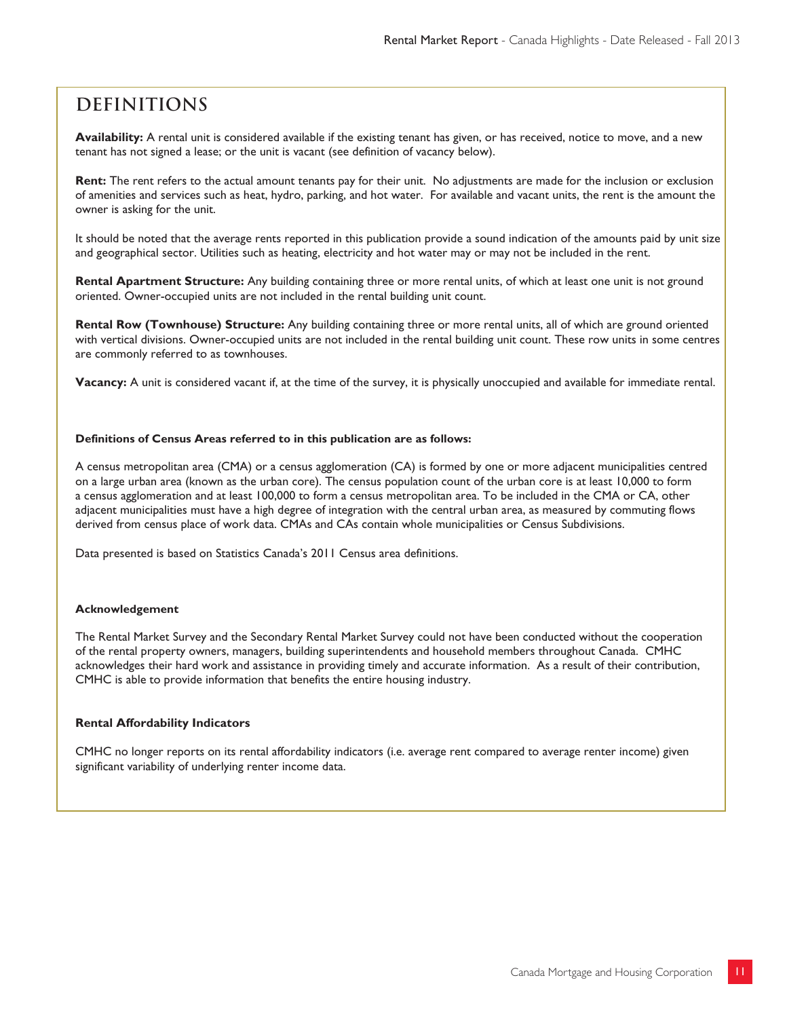## **Definitions**

**Availability:** A rental unit is considered available if the existing tenant has given, or has received, notice to move, and a new tenant has not signed a lease; or the unit is vacant (see definition of vacancy below).

**Rent:** The rent refers to the actual amount tenants pay for their unit. No adjustments are made for the inclusion or exclusion of amenities and services such as heat, hydro, parking, and hot water. For available and vacant units, the rent is the amount the owner is asking for the unit.

It should be noted that the average rents reported in this publication provide a sound indication of the amounts paid by unit size and geographical sector. Utilities such as heating, electricity and hot water may or may not be included in the rent.

**Rental Apartment Structure:** Any building containing three or more rental units, of which at least one unit is not ground oriented. Owner-occupied units are not included in the rental building unit count.

**Rental Row (Townhouse) Structure:** Any building containing three or more rental units, all of which are ground oriented with vertical divisions. Owner-occupied units are not included in the rental building unit count. These row units in some centres are commonly referred to as townhouses.

**Vacancy:** A unit is considered vacant if, at the time of the survey, it is physically unoccupied and available for immediate rental.

#### **Definitions of Census Areas referred to in this publication are as follows:**

A census metropolitan area (CMA) or a census agglomeration (CA) is formed by one or more adjacent municipalities centred on a large urban area (known as the urban core). The census population count of the urban core is at least 10,000 to form a census agglomeration and at least 100,000 to form a census metropolitan area. To be included in the CMA or CA, other adjacent municipalities must have a high degree of integration with the central urban area, as measured by commuting flows derived from census place of work data. CMAs and CAs contain whole municipalities or Census Subdivisions.

Data presented is based on Statistics Canada's 2011 Census area definitions.

#### **Acknowledgement**

The Rental Market Survey and the Secondary Rental Market Survey could not have been conducted without the cooperation of the rental property owners, managers, building superintendents and household members throughout Canada. CMHC acknowledges their hard work and assistance in providing timely and accurate information. As a result of their contribution, CMHC is able to provide information that benefits the entire housing industry.

#### **Rental Affordability Indicators**

CMHC no longer reports on its rental affordability indicators (i.e. average rent compared to average renter income) given significant variability of underlying renter income data.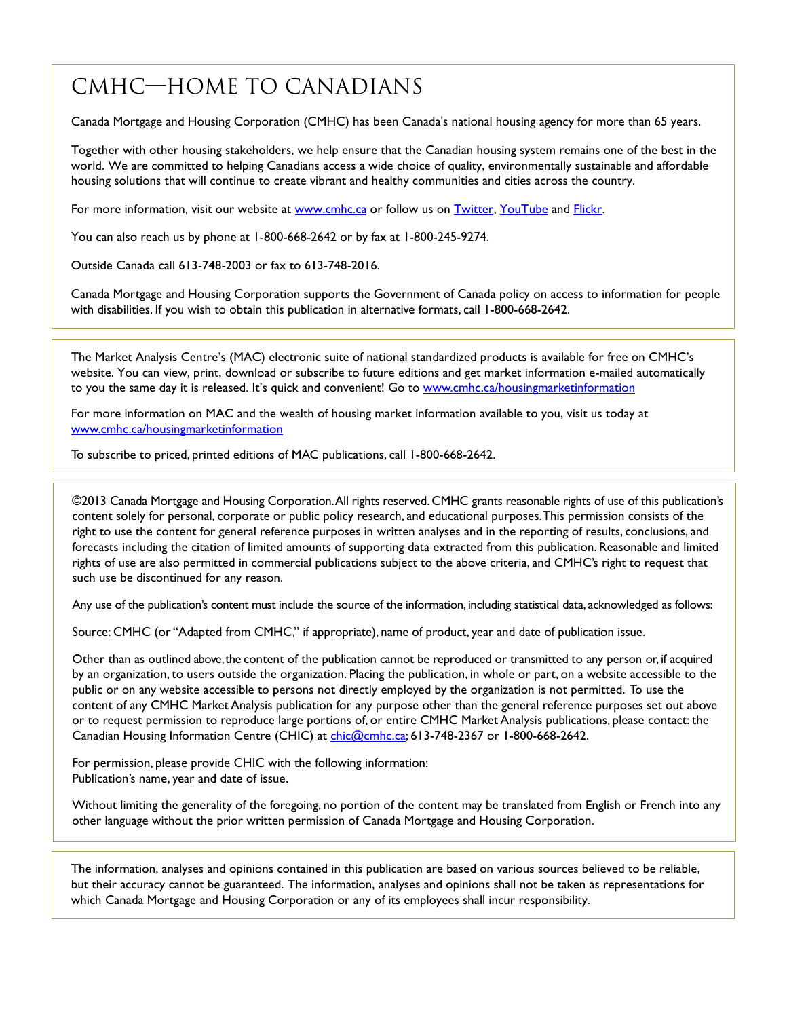## CMHC—Home to Canadians

Canada Mortgage and Housing Corporation (CMHC) has been Canada's national housing agency for more than 65 years.

Together with other housing stakeholders, we help ensure that the Canadian housing system remains one of the best in the world. We are committed to helping Canadians access a wide choice of quality, environmentally sustainable and affordable housing solutions that will continue to create vibrant and healthy communities and cities across the country.

For more information, visit our website at [www.cmhc.ca](http://www.cmhc.ca/) or follow us on [Twitter,](http://www.twitter.com/CMHC_ca) [YouTube](http://www.youtube.com/CMHCca) and [Flickr.](http://www.flickr.com/photos/cmhc-schl/)

You can also reach us by phone at 1-800-668-2642 or by fax at 1-800-245-9274.

Outside Canada call 613-748-2003 or fax to 613-748-2016.

Canada Mortgage and Housing Corporation supports the Government of Canada policy on access to information for people with disabilities. If you wish to obtain this publication in alternative formats, call 1-800-668-2642.

The Market Analysis Centre's (MAC) electronic suite of national standardized products is available for free on CMHC's website. You can view, print, download or subscribe to future editions and get market information e-mailed automatically to you the same day it is released. It's quick and convenient! Go to [www.cmhc.ca/housingmarketinformation](http://www.cmhc.ca/housingmarketinformation)

For more information on MAC and the wealth of housing market information available to you, visit us today at [www.cmhc.ca/housingmarketinformation](http://www.cmhc.ca/housingmarketinformation)

To subscribe to priced, printed editions of MAC publications, call 1-800-668-2642.

©2013 Canada Mortgage and Housing Corporation. All rights reserved. CMHC grants reasonable rights of use of this publication's content solely for personal, corporate or public policy research, and educational purposes. This permission consists of the right to use the content for general reference purposes in written analyses and in the reporting of results, conclusions, and forecasts including the citation of limited amounts of supporting data extracted from this publication. Reasonable and limited rights of use are also permitted in commercial publications subject to the above criteria, and CMHC's right to request that such use be discontinued for any reason.

Any use of the publication's content must include the source of the information, including statistical data, acknowledged as follows:

Source: CMHC (or "Adapted from CMHC," if appropriate), name of product, year and date of publication issue.

Other than as outlined above, the content of the publication cannot be reproduced or transmitted to any person or, if acquired by an organization, to users outside the organization. Placing the publication, in whole or part, on a website accessible to the public or on any website accessible to persons not directly employed by the organization is not permitted. To use the content of any CMHC Market Analysis publication for any purpose other than the general reference purposes set out above or to request permission to reproduce large portions of, or entire CMHC Market Analysis publications, please contact: the Canadian Housing Information Centre (CHIC) at [chic@cmhc.ca;](mailto:chic@cmhc.ca) 613-748-2367 or 1-800-668-2642.

For permission, please provide CHIC with the following information: Publication's name, year and date of issue.

Without limiting the generality of the foregoing, no portion of the content may be translated from English or French into any other language without the prior written permission of Canada Mortgage and Housing Corporation.

The information, analyses and opinions contained in this publication are based on various sources believed to be reliable, but their accuracy cannot be guaranteed. The information, analyses and opinions shall not be taken as representations for which Canada Mortgage and Housing Corporation or any of its employees shall incur responsibility.